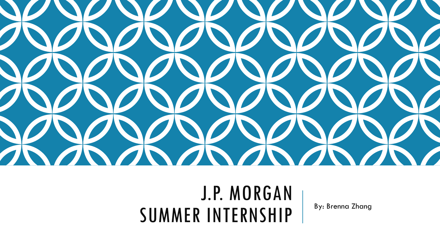

## J.P. MORGAN SUMMER INTERNSHIP | By: Brenna Zhang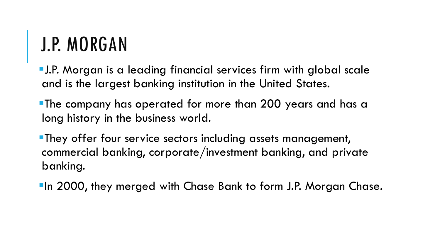# J.P. MORGAN

J.P. Morgan is a leading financial services firm with global scale and is the largest banking institution in the United States.

**The company has operated for more than 200 years and has a** long history in the business world.

**They offer four service sectors including assets management,** commercial banking, corporate/investment banking, and private banking.

**In 2000, they merged with Chase Bank to form J.P. Morgan Chase.**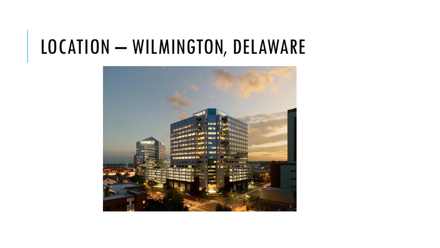### LOCATION - WILMINGTON, DELAWARE

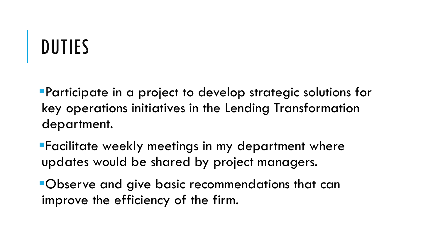# DUTIES

Participate in a project to develop strategic solutions for key operations initiatives in the Lending Transformation department.

Facilitate weekly meetings in my department where updates would be shared by project managers.

Observe and give basic recommendations that can improve the efficiency of the firm.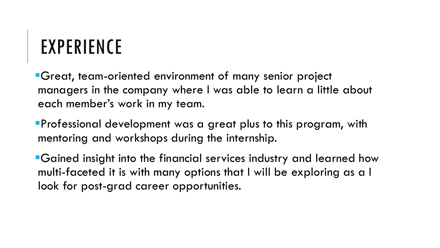## EXPERIENCE

Great, team-oriented environment of many senior project managers in the company where I was able to learn a little about each member's work in my team.

Professional development was a great plus to this program, with mentoring and workshops during the internship.

Gained insight into the financial services industry and learned how multi-faceted it is with many options that I will be exploring as a I look for post-grad career opportunities.